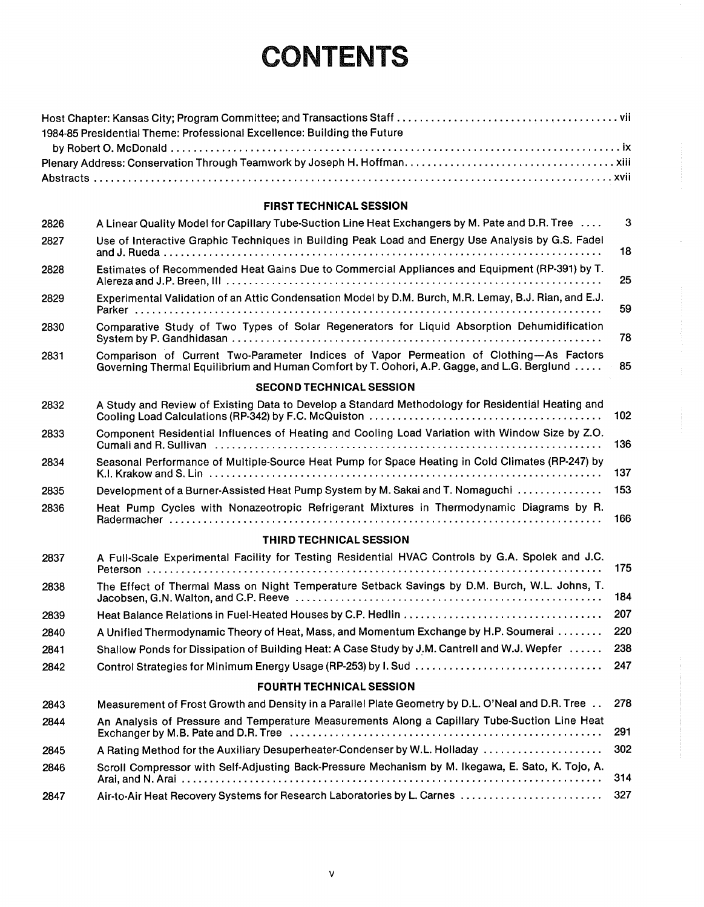# CONTENTS

| 1984-85 Presidential Theme: Professional Excellence: Building the Future |  |
|--------------------------------------------------------------------------|--|
|                                                                          |  |
|                                                                          |  |
|                                                                          |  |

#### FIRST TECHNICAL SESSION

| 2826                            | A Linear Quality Model for Capillary Tube-Suction Line Heat Exchangers by M. Pate and D.R. Tree                                                                                                                   | 3   |  |
|---------------------------------|-------------------------------------------------------------------------------------------------------------------------------------------------------------------------------------------------------------------|-----|--|
| 2827                            | Use of Interactive Graphic Techniques in Building Peak Load and Energy Use Analysis by G.S. Fadel                                                                                                                 | 18  |  |
| 2828                            | Estimates of Recommended Heat Gains Due to Commercial Appliances and Equipment (RP-391) by T.                                                                                                                     | 25  |  |
| 2829                            | Experimental Validation of an Attic Condensation Model by D.M. Burch, M.R. Lemay, B.J. Rian, and E.J.                                                                                                             | 59  |  |
| 2830                            | Comparative Study of Two Types of Solar Regenerators for Liquid Absorption Dehumidification                                                                                                                       | 78  |  |
| 2831                            | Comparison of Current Two-Parameter Indices of Vapor Permeation of Clothing-As Factors<br>Governing Thermal Equilibrium and Human Comfort by T. Oohori, A.P. Gagge, and L.G. Berglund                             | 85  |  |
|                                 | <b>SECOND TECHNICAL SESSION</b>                                                                                                                                                                                   |     |  |
| 2832                            | A Study and Review of Existing Data to Develop a Standard Methodology for Residential Heating and                                                                                                                 | 102 |  |
| 2833                            | Component Residential Influences of Heating and Cooling Load Variation with Window Size by Z.O.<br>Cumali and R. Sullivan (a) and the contract of the contract of the contract of the contract of the contract of | 136 |  |
| 2834                            | Seasonal Performance of Multiple-Source Heat Pump for Space Heating in Cold Climates (RP-247) by                                                                                                                  | 137 |  |
| 2835                            | Development of a Burner-Assisted Heat Pump System by M. Sakai and T. Nomaguchi                                                                                                                                    | 153 |  |
| 2836                            | Heat Pump Cycles with Nonazeotropic Refrigerant Mixtures in Thermodynamic Diagrams by R.                                                                                                                          | 166 |  |
|                                 | THIRD TECHNICAL SESSION                                                                                                                                                                                           |     |  |
| 2837                            | A Full-Scale Experimental Facility for Testing Residential HVAC Controls by G.A. Spolek and J.C.                                                                                                                  | 175 |  |
| 2838                            | The Effect of Thermal Mass on Night Temperature Setback Savings by D.M. Burch, W.L. Johns, T.                                                                                                                     | 184 |  |
| 2839                            |                                                                                                                                                                                                                   | 207 |  |
| 2840                            | A Unified Thermodynamic Theory of Heat, Mass, and Momentum Exchange by H.P. Soumerai                                                                                                                              | 220 |  |
| 2841                            | Shallow Ponds for Dissipation of Building Heat: A Case Study by J.M. Cantrell and W.J. Wepfer                                                                                                                     | 238 |  |
| 2842                            |                                                                                                                                                                                                                   | 247 |  |
| <b>FOURTH TECHNICAL SESSION</b> |                                                                                                                                                                                                                   |     |  |
| 2843                            | Measurement of Frost Growth and Density in a Parallel Plate Geometry by D.L. O'Neal and D.R. Tree                                                                                                                 | 278 |  |
| 2844                            | An Analysis of Pressure and Temperature Measurements Along a Capillary Tube-Suction Line Heat                                                                                                                     | 291 |  |
| 2845                            | A Rating Method for the Auxiliary Desuperheater-Condenser by W.L. Holladay                                                                                                                                        | 302 |  |
| 2846                            | Scroll Compressor with Self-Adjusting Back-Pressure Mechanism by M. Ikegawa, E. Sato, K. Tojo, A.                                                                                                                 | 314 |  |
| 2847                            | Air-to-Air Heat Recovery Systems for Research Laboratories by L. Carnes                                                                                                                                           | 327 |  |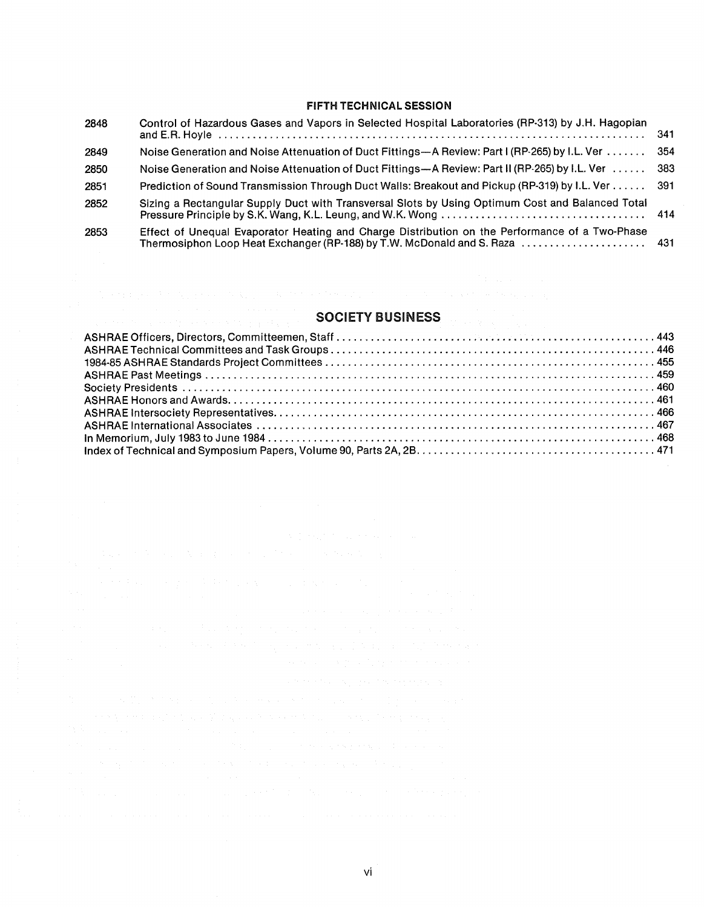#### FIFTH TECHNICAL SESSION

| 2848 | Control of Hazardous Gases and Vapors in Selected Hospital Laboratories (RP-313) by J.H. Hagopian | -341 |
|------|---------------------------------------------------------------------------------------------------|------|
| 2849 | Noise Generation and Noise Attenuation of Duct Fittings—A Review: Part I (RP-265) by I.L. Ver     | 354  |
| 2850 | Noise Generation and Noise Attenuation of Duct Fittings--A Review: Part II (RP-265) by I.L. Ver   | -383 |
| 2851 | Prediction of Sound Transmission Through Duct Walls: Breakout and Pickup (RP-319) by I.L. Ver 391 |      |
| 2852 | Sizing a Rectangular Supply Duct with Transversal Slots by Using Optimum Cost and Balanced Total  |      |
| 2853 | Effect of Unequal Evaporator Heating and Charge Distribution on the Performance of a Two-Phase    |      |

### SOCIETY BUSINESS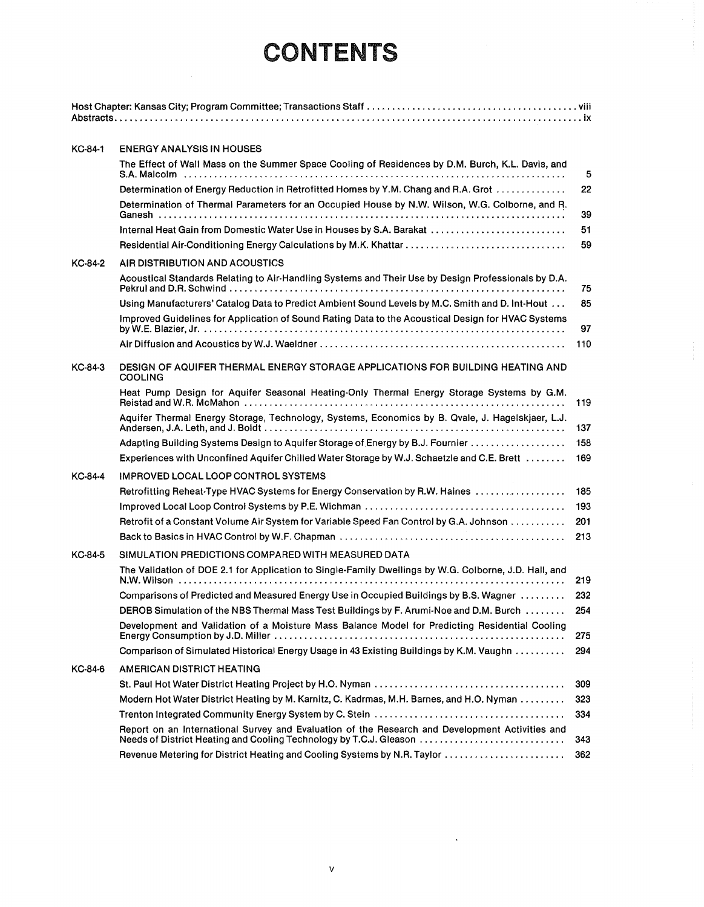## **CONTENTS**

| KC-84-1        | <b>ENERGY ANALYSIS IN HOUSES</b>                                                                                                                                      |     |
|----------------|-----------------------------------------------------------------------------------------------------------------------------------------------------------------------|-----|
|                | The Effect of Wall Mass on the Summer Space Cooling of Residences by D.M. Burch, K.L. Davis, and                                                                      | 5   |
|                | Determination of Energy Reduction in Retrofitted Homes by Y.M. Chang and R.A. Grot                                                                                    | 22  |
|                | Determination of Thermal Parameters for an Occupied House by N.W. Wilson, W.G. Colborne, and R.                                                                       | 39  |
|                | Internal Heat Gain from Domestic Water Use in Houses by S.A. Barakat                                                                                                  | 51  |
|                |                                                                                                                                                                       | 59  |
| KC-84-2        | AIR DISTRIBUTION AND ACOUSTICS                                                                                                                                        |     |
|                | Acoustical Standards Relating to Air-Handling Systems and Their Use by Design Professionals by D.A.                                                                   | 75  |
|                | Using Manufacturers' Catalog Data to Predict Ambient Sound Levels by M.C. Smith and D. Int-Hout                                                                       | 85  |
|                | Improved Guidelines for Application of Sound Rating Data to the Acoustical Design for HVAC Systems                                                                    | 97  |
|                |                                                                                                                                                                       | 110 |
| KC-84-3        | DESIGN OF AQUIFER THERMAL ENERGY STORAGE APPLICATIONS FOR BUILDING HEATING AND<br><b>COOLING</b>                                                                      |     |
|                | Heat Pump Design for Aquifer Seasonal Heating-Only Thermal Energy Storage Systems by G.M.                                                                             | 119 |
|                | Aquifer Thermal Energy Storage, Technology, Systems, Economics by B. Qvale, J. Hagelskjaer, L.J.                                                                      | 137 |
|                | Adapting Building Systems Design to Aquifer Storage of Energy by B.J. Fournier                                                                                        | 158 |
|                | Experiences with Unconfined Aquifer Chilled Water Storage by W.J. Schaetzle and C.E. Brett                                                                            | 169 |
| <b>KC-84-4</b> | IMPROVED LOCAL LOOP CONTROL SYSTEMS                                                                                                                                   |     |
|                | Retrofitting Reheat-Type HVAC Systems for Energy Conservation by R.W. Haines                                                                                          | 185 |
|                |                                                                                                                                                                       | 193 |
|                | Retrofit of a Constant Volume Air System for Variable Speed Fan Control by G.A. Johnson                                                                               | 201 |
|                |                                                                                                                                                                       | 213 |
| KC-84-5        | SIMULATION PREDICTIONS COMPARED WITH MEASURED DATA                                                                                                                    |     |
|                | The Validation of DOE 2.1 for Application to Single-Family Dwellings by W.G. Colborne, J.D. Hall, and                                                                 | 219 |
|                | Comparisons of Predicted and Measured Energy Use in Occupied Buildings by B.S. Wagner                                                                                 | 232 |
|                | DEROB Simulation of the NBS Thermal Mass Test Buildings by F. Arumi-Noe and D.M. Burch                                                                                | 254 |
|                | Development and Validation of a Moisture Mass Balance Model for Predicting Residential Cooling                                                                        | 275 |
|                | Comparison of Simulated Historical Energy Usage in 43 Existing Buildings by K.M. Vaughn                                                                               | 294 |
| KC-84-6        | AMERICAN DISTRICT HEATING                                                                                                                                             |     |
|                |                                                                                                                                                                       | 309 |
|                | Modern Hot Water District Heating by M. Karnitz, C. Kadrmas, M.H. Barnes, and H.O. Nyman                                                                              | 323 |
|                |                                                                                                                                                                       | 334 |
|                | Report on an International Survey and Evaluation of the Research and Development Activities and<br>Needs of District Heating and Cooling Technology by T.C.J. Gleason | 343 |
|                | Revenue Metering for District Heating and Cooling Systems by N.R. Taylor                                                                                              | 362 |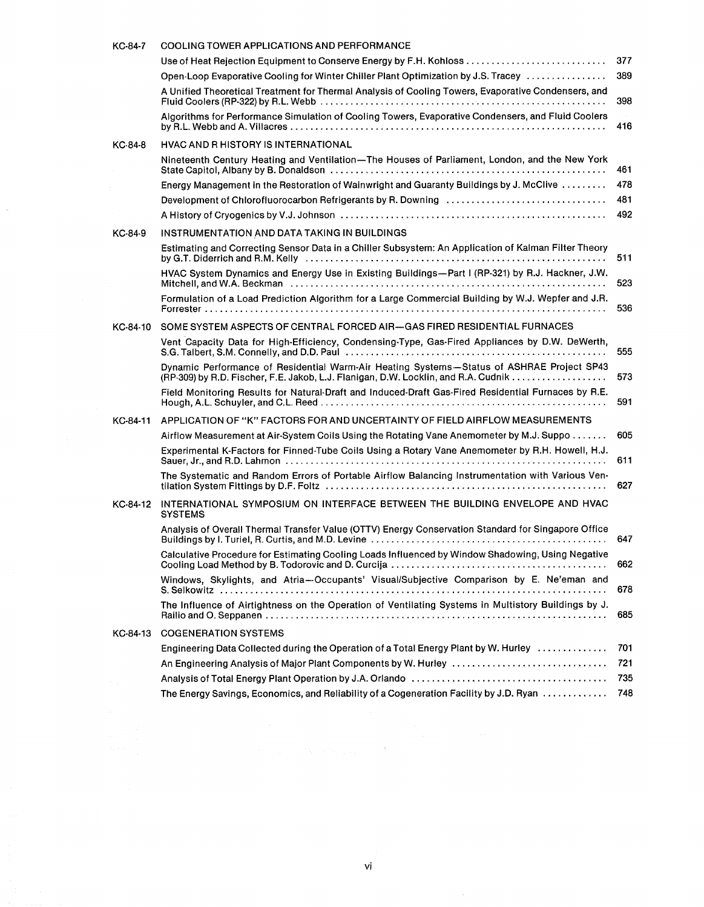| KC-84-7  | <b>COOLING TOWER APPLICATIONS AND PERFORMANCE</b>                                                                                                                                                                                                                                                                                 |     |
|----------|-----------------------------------------------------------------------------------------------------------------------------------------------------------------------------------------------------------------------------------------------------------------------------------------------------------------------------------|-----|
|          | Use of Heat Rejection Equipment to Conserve Energy by F.H. Kohloss                                                                                                                                                                                                                                                                | 377 |
|          | Open-Loop Evaporative Cooling for Winter Chiller Plant Optimization by J.S. Tracey                                                                                                                                                                                                                                                | 389 |
|          | A Unified Theoretical Treatment for Thermal Analysis of Cooling Towers, Evaporative Condensers, and                                                                                                                                                                                                                               | 398 |
|          | Algorithms for Performance Simulation of Cooling Towers, Evaporative Condensers, and Fluid Coolers                                                                                                                                                                                                                                | 416 |
| KC-84-8  | <b>HVAC AND R HISTORY IS INTERNATIONAL</b>                                                                                                                                                                                                                                                                                        |     |
|          | Nineteenth Century Heating and Ventilation-The Houses of Parliament, London, and the New York                                                                                                                                                                                                                                     | 461 |
|          | Energy Management in the Restoration of Wainwright and Guaranty Buildings by J. McClive                                                                                                                                                                                                                                           | 478 |
|          | Development of Chlorofluorocarbon Refrigerants by R. Downing                                                                                                                                                                                                                                                                      | 481 |
|          |                                                                                                                                                                                                                                                                                                                                   | 492 |
| KC-84-9  | INSTRUMENTATION AND DATA TAKING IN BUILDINGS                                                                                                                                                                                                                                                                                      |     |
|          | Estimating and Correcting Sensor Data in a Chiller Subsystem: An Application of Kalman Filter Theory                                                                                                                                                                                                                              | 511 |
|          | HVAC System Dynamics and Energy Use in Existing Buildings-Part I (RP-321) by R.J. Hackner, J.W.<br>Mitchell, and W.A. Beckman (a) and a control of the control of the control of the control of the control of the control of the control of the control of the control of the control of the control of the control of the contr | 523 |
|          | Formulation of a Load Prediction Algorithm for a Large Commercial Building by W.J. Wepfer and J.R.                                                                                                                                                                                                                                | 536 |
| KC-84-10 | SOME SYSTEM ASPECTS OF CENTRAL FORCED AIR-GAS FIRED RESIDENTIAL FURNACES                                                                                                                                                                                                                                                          |     |
|          | Vent Capacity Data for High-Efficiency, Condensing-Type, Gas-Fired Appliances by D.W. DeWerth,                                                                                                                                                                                                                                    | 555 |
|          | Dynamic Performance of Residential Warm-Air Heating Systems-Status of ASHRAE Project SP43                                                                                                                                                                                                                                         | 573 |
|          | Field Monitoring Results for Natural-Draft and Induced-Draft Gas-Fired Residential Furnaces by R.E.                                                                                                                                                                                                                               | 591 |
| KC-84-11 | APPLICATION OF "K" FACTORS FOR AND UNCERTAINTY OF FIELD AIRFLOW MEASUREMENTS                                                                                                                                                                                                                                                      |     |
|          | Airflow Measurement at Air-System Coils Using the Rotating Vane Anemometer by M.J. Suppo                                                                                                                                                                                                                                          | 605 |
|          | Experimental K-Factors for Finned-Tube Coils Using a Rotary Vane Anemometer by R.H. Howell, H.J.                                                                                                                                                                                                                                  | 611 |
|          | The Systematic and Random Errors of Portable Airflow Balancing Instrumentation with Various Ven-                                                                                                                                                                                                                                  | 627 |
| KC-84-12 | INTERNATIONAL SYMPOSIUM ON INTERFACE BETWEEN THE BUILDING ENVELOPE AND HVAC<br><b>SYSTEMS</b>                                                                                                                                                                                                                                     |     |
|          | Analysis of Overall Thermal Transfer Value (OTTV) Energy Conservation Standard for Singapore Office                                                                                                                                                                                                                               | 647 |
|          | Calculative Procedure for Estimating Cooling Loads Influenced by Window Shadowing, Using Negative                                                                                                                                                                                                                                 | 662 |
|          | Windows, Skylights, and Atria-Occupants' Visual/Subjective Comparison by E. Ne'eman and                                                                                                                                                                                                                                           | 678 |
|          | The Influence of Airtightness on the Operation of Ventilating Systems in Multistory Buildings by J.                                                                                                                                                                                                                               |     |
|          |                                                                                                                                                                                                                                                                                                                                   | 685 |
| KC-84-13 | <b>COGENERATION SYSTEMS</b>                                                                                                                                                                                                                                                                                                       |     |
|          | Engineering Data Collected during the Operation of a Total Energy Plant by W. Hurley                                                                                                                                                                                                                                              | 701 |
|          | An Engineering Analysis of Major Plant Components by W. Hurley                                                                                                                                                                                                                                                                    | 721 |
|          |                                                                                                                                                                                                                                                                                                                                   | 735 |
|          | The Energy Savings, Economics, and Reliability of a Cogeneration Facility by J.D. Ryan                                                                                                                                                                                                                                            | 748 |

 $\frac{1}{2}$ 

Vi

 $\frac{1}{2}$ 

 $\label{eq:2.1} \mathcal{A}=\mathcal{A}^{\dagger}_{\mathcal{A}}\left(\mathcal{A}^{\dagger}_{\mathcal{A}}\right)=\mathcal{A}^{\dagger}_{\mathcal{A}}\left(\mathcal{A}^{\dagger}_{\mathcal{A}}\right)=\mathcal{A}^{\dagger}_{\mathcal{A}}\left(\mathcal{A}^{\dagger}_{\mathcal{A}}\right)$